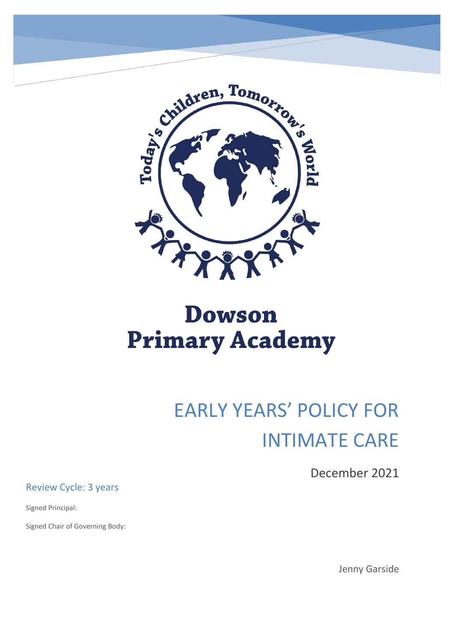

# **Dowson Primary Academy**

# EARLY YEARS' POLICY FOR INTIMATE CARE

December 2021

Review Cycle: 3 years

Signed Principal:

Signed Chair of Governing Body:

Jenny Garside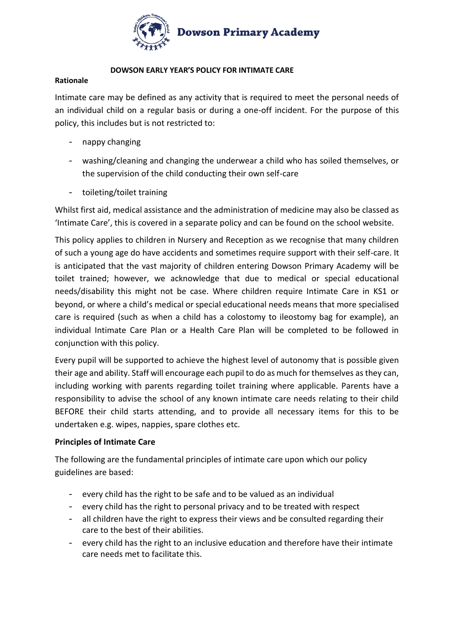

#### **DOWSON EARLY YEAR'S POLICY FOR INTIMATE CARE**

#### **Rationale**

Intimate care may be defined as any activity that is required to meet the personal needs of an individual child on a regular basis or during a one-off incident. For the purpose of this policy, this includes but is not restricted to:

- nappy changing
- washing/cleaning and changing the underwear a child who has soiled themselves, or the supervision of the child conducting their own self-care
- toileting/toilet training

Whilst first aid, medical assistance and the administration of medicine may also be classed as 'Intimate Care', this is covered in a separate policy and can be found on the school website.

This policy applies to children in Nursery and Reception as we recognise that many children of such a young age do have accidents and sometimes require support with their self-care. It is anticipated that the vast majority of children entering Dowson Primary Academy will be toilet trained; however, we acknowledge that due to medical or special educational needs/disability this might not be case. Where children require Intimate Care in KS1 or beyond, or where a child's medical or special educational needs means that more specialised care is required (such as when a child has a colostomy to ileostomy bag for example), an individual Intimate Care Plan or a Health Care Plan will be completed to be followed in conjunction with this policy.

Every pupil will be supported to achieve the highest level of autonomy that is possible given their age and ability. Staff will encourage each pupil to do as much for themselves as they can, including working with parents regarding toilet training where applicable. Parents have a responsibility to advise the school of any known intimate care needs relating to their child BEFORE their child starts attending, and to provide all necessary items for this to be undertaken e.g. wipes, nappies, spare clothes etc.

# **Principles of Intimate Care**

The following are the fundamental principles of intimate care upon which our policy guidelines are based:

- every child has the right to be safe and to be valued as an individual
- every child has the right to personal privacy and to be treated with respect
- all children have the right to express their views and be consulted regarding their care to the best of their abilities.
- every child has the right to an inclusive education and therefore have their intimate care needs met to facilitate this.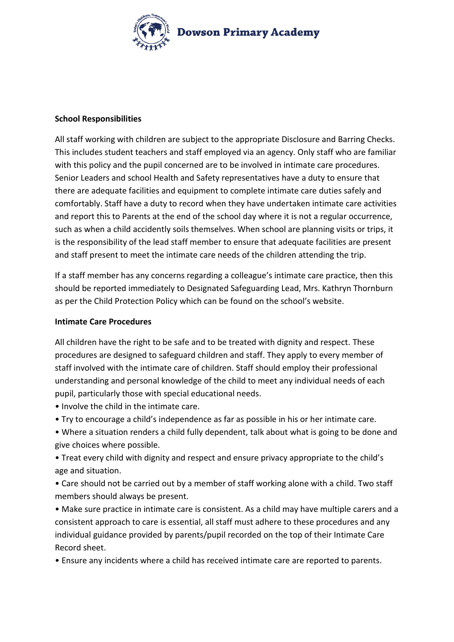

### **School Responsibilities**

All staff working with children are subject to the appropriate Disclosure and Barring Checks. This includes student teachers and staff employed via an agency. Only staff who are familiar with this policy and the pupil concerned are to be involved in intimate care procedures. Senior Leaders and school Health and Safety representatives have a duty to ensure that there are adequate facilities and equipment to complete intimate care duties safely and comfortably. Staff have a duty to record when they have undertaken intimate care activities and report this to Parents at the end of the school day where it is not a regular occurrence, such as when a child accidently soils themselves. When school are planning visits or trips, it is the responsibility of the lead staff member to ensure that adequate facilities are present and staff present to meet the intimate care needs of the children attending the trip.

If a staff member has any concerns regarding a colleague's intimate care practice, then this should be reported immediately to Designated Safeguarding Lead, Mrs. Kathryn Thornburn as per the Child Protection Policy which can be found on the school's website.

#### **Intimate Care Procedures**

All children have the right to be safe and to be treated with dignity and respect. These procedures are designed to safeguard children and staff. They apply to every member of staff involved with the intimate care of children. Staff should employ their professional understanding and personal knowledge of the child to meet any individual needs of each pupil, particularly those with special educational needs.

- Involve the child in the intimate care.
- Try to encourage a child's independence as far as possible in his or her intimate care.
- Where a situation renders a child fully dependent, talk about what is going to be done and give choices where possible.

• Treat every child with dignity and respect and ensure privacy appropriate to the child's age and situation.

• Care should not be carried out by a member of staff working alone with a child. Two staff members should always be present.

• Make sure practice in intimate care is consistent. As a child may have multiple carers and a consistent approach to care is essential, all staff must adhere to these procedures and any individual guidance provided by parents/pupil recorded on the top of their Intimate Care Record sheet.

• Ensure any incidents where a child has received intimate care are reported to parents.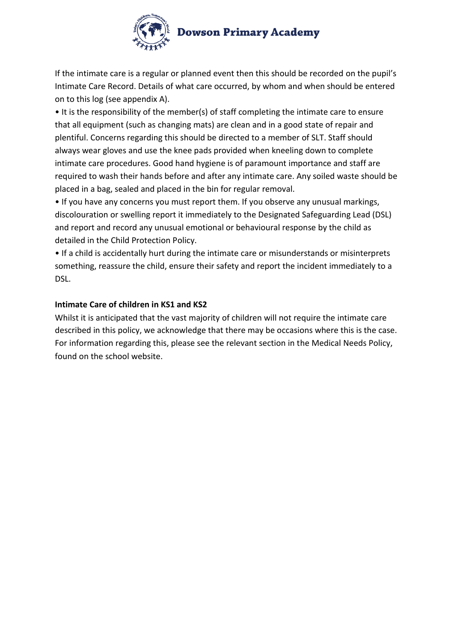

If the intimate care is a regular or planned event then this should be recorded on the pupil's Intimate Care Record. Details of what care occurred, by whom and when should be entered on to this log (see appendix A).

• It is the responsibility of the member(s) of staff completing the intimate care to ensure that all equipment (such as changing mats) are clean and in a good state of repair and plentiful. Concerns regarding this should be directed to a member of SLT. Staff should always wear gloves and use the knee pads provided when kneeling down to complete intimate care procedures. Good hand hygiene is of paramount importance and staff are required to wash their hands before and after any intimate care. Any soiled waste should be placed in a bag, sealed and placed in the bin for regular removal.

• If you have any concerns you must report them. If you observe any unusual markings, discolouration or swelling report it immediately to the Designated Safeguarding Lead (DSL) and report and record any unusual emotional or behavioural response by the child as detailed in the Child Protection Policy.

• If a child is accidentally hurt during the intimate care or misunderstands or misinterprets something, reassure the child, ensure their safety and report the incident immediately to a DSL.

# **Intimate Care of children in KS1 and KS2**

Whilst it is anticipated that the vast majority of children will not require the intimate care described in this policy, we acknowledge that there may be occasions where this is the case. For information regarding this, please see the relevant section in the Medical Needs Policy, found on the school website.